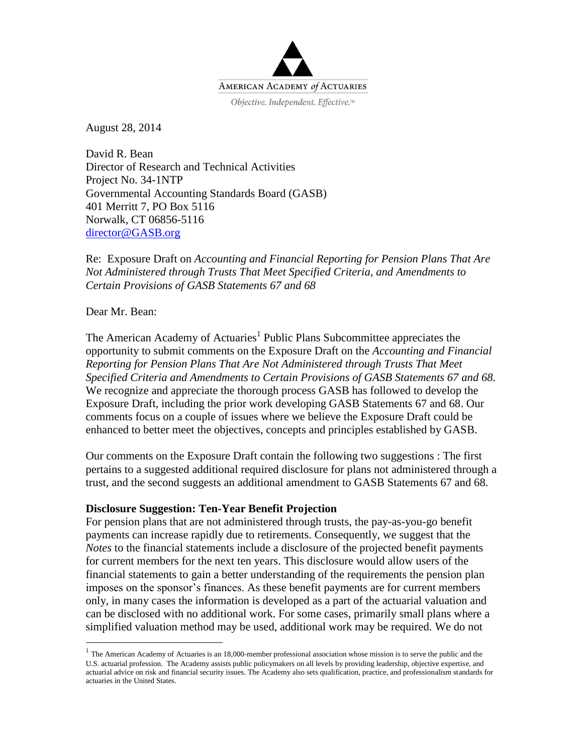

August 28, 2014

David R. Bean Director of Research and Technical Activities Project No. 34-1NTP Governmental Accounting Standards Board (GASB) 401 Merritt 7, PO Box 5116 Norwalk, CT 06856-5116 [director@GASB.org](mailto:director@GASB.org)

Re: Exposure Draft on *Accounting and Financial Reporting for Pension Plans That Are Not Administered through Trusts That Meet Specified Criteria, and Amendments to Certain Provisions of GASB Statements 67 and 68*

Dear Mr. Bean:

 $\overline{a}$ 

The American Academy of Actuaries<sup>1</sup> Public Plans Subcommittee appreciates the opportunity to submit comments on the Exposure Draft on the *Accounting and Financial Reporting for Pension Plans That Are Not Administered through Trusts That Meet Specified Criteria and Amendments to Certain Provisions of GASB Statements 67 and 68.* We recognize and appreciate the thorough process GASB has followed to develop the Exposure Draft, including the prior work developing GASB Statements 67 and 68. Our comments focus on a couple of issues where we believe the Exposure Draft could be enhanced to better meet the objectives, concepts and principles established by GASB.

Our comments on the Exposure Draft contain the following two suggestions : The first pertains to a suggested additional required disclosure for plans not administered through a trust, and the second suggests an additional amendment to GASB Statements 67 and 68.

#### **Disclosure Suggestion: Ten-Year Benefit Projection**

For pension plans that are not administered through trusts, the pay-as-you-go benefit payments can increase rapidly due to retirements. Consequently, we suggest that the *Notes* to the financial statements include a disclosure of the projected benefit payments for current members for the next ten years. This disclosure would allow users of the financial statements to gain a better understanding of the requirements the pension plan imposes on the sponsor's finances. As these benefit payments are for current members only, in many cases the information is developed as a part of the actuarial valuation and can be disclosed with no additional work. For some cases, primarily small plans where a simplified valuation method may be used, additional work may be required. We do not

 $<sup>1</sup>$  The American Academy of Actuaries is an 18,000-member professional association whose mission is to serve the public and the</sup> U.S. actuarial profession. The Academy assists public policymakers on all levels by providing leadership, objective expertise, and actuarial advice on risk and financial security issues. The Academy also sets qualification, practice, and professionalism standards for actuaries in the United States.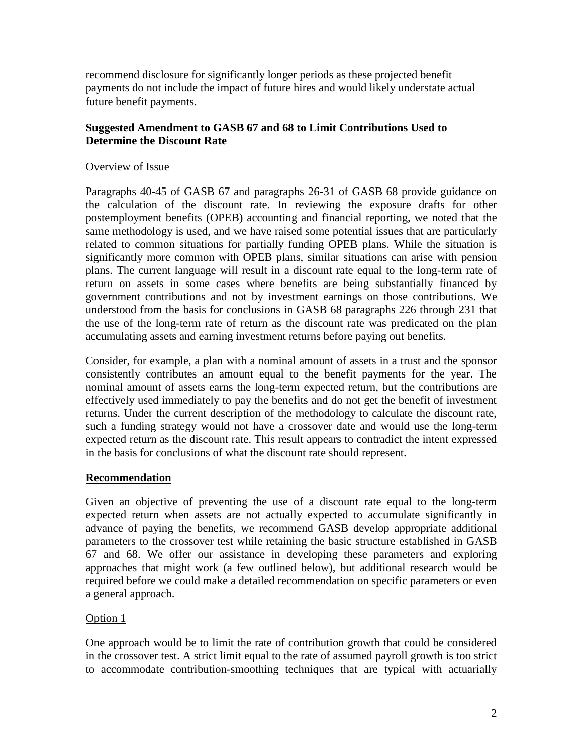recommend disclosure for significantly longer periods as these projected benefit payments do not include the impact of future hires and would likely understate actual future benefit payments.

# **Suggested Amendment to GASB 67 and 68 to Limit Contributions Used to Determine the Discount Rate**

### Overview of Issue

Paragraphs 40-45 of GASB 67 and paragraphs 26-31 of GASB 68 provide guidance on the calculation of the discount rate. In reviewing the exposure drafts for other postemployment benefits (OPEB) accounting and financial reporting, we noted that the same methodology is used, and we have raised some potential issues that are particularly related to common situations for partially funding OPEB plans. While the situation is significantly more common with OPEB plans, similar situations can arise with pension plans. The current language will result in a discount rate equal to the long-term rate of return on assets in some cases where benefits are being substantially financed by government contributions and not by investment earnings on those contributions. We understood from the basis for conclusions in GASB 68 paragraphs 226 through 231 that the use of the long-term rate of return as the discount rate was predicated on the plan accumulating assets and earning investment returns before paying out benefits.

Consider, for example, a plan with a nominal amount of assets in a trust and the sponsor consistently contributes an amount equal to the benefit payments for the year. The nominal amount of assets earns the long-term expected return, but the contributions are effectively used immediately to pay the benefits and do not get the benefit of investment returns. Under the current description of the methodology to calculate the discount rate, such a funding strategy would not have a crossover date and would use the long-term expected return as the discount rate. This result appears to contradict the intent expressed in the basis for conclusions of what the discount rate should represent.

### **Recommendation**

Given an objective of preventing the use of a discount rate equal to the long-term expected return when assets are not actually expected to accumulate significantly in advance of paying the benefits, we recommend GASB develop appropriate additional parameters to the crossover test while retaining the basic structure established in GASB 67 and 68. We offer our assistance in developing these parameters and exploring approaches that might work (a few outlined below), but additional research would be required before we could make a detailed recommendation on specific parameters or even a general approach.

### Option 1

One approach would be to limit the rate of contribution growth that could be considered in the crossover test. A strict limit equal to the rate of assumed payroll growth is too strict to accommodate contribution-smoothing techniques that are typical with actuarially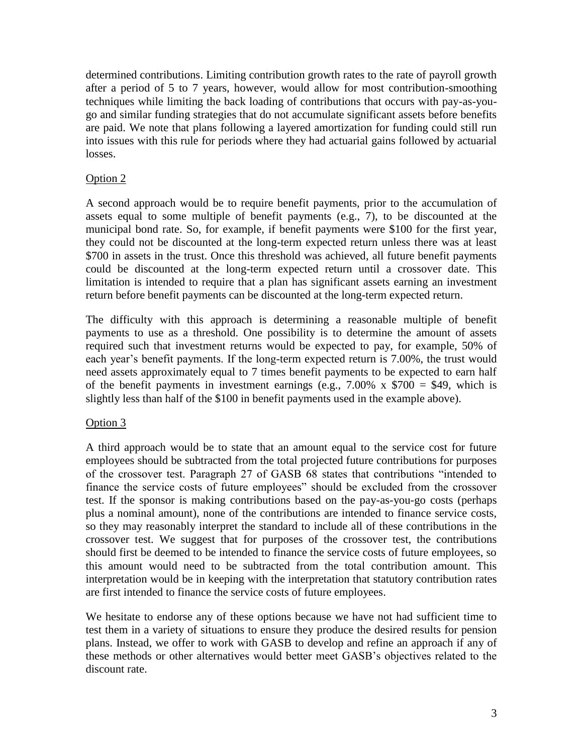determined contributions. Limiting contribution growth rates to the rate of payroll growth after a period of 5 to 7 years, however, would allow for most contribution-smoothing techniques while limiting the back loading of contributions that occurs with pay-as-yougo and similar funding strategies that do not accumulate significant assets before benefits are paid. We note that plans following a layered amortization for funding could still run into issues with this rule for periods where they had actuarial gains followed by actuarial losses.

# Option 2

A second approach would be to require benefit payments, prior to the accumulation of assets equal to some multiple of benefit payments (e.g., 7), to be discounted at the municipal bond rate. So, for example, if benefit payments were \$100 for the first year, they could not be discounted at the long-term expected return unless there was at least \$700 in assets in the trust. Once this threshold was achieved, all future benefit payments could be discounted at the long-term expected return until a crossover date. This limitation is intended to require that a plan has significant assets earning an investment return before benefit payments can be discounted at the long-term expected return.

The difficulty with this approach is determining a reasonable multiple of benefit payments to use as a threshold. One possibility is to determine the amount of assets required such that investment returns would be expected to pay, for example, 50% of each year's benefit payments. If the long-term expected return is 7.00%, the trust would need assets approximately equal to 7 times benefit payments to be expected to earn half of the benefit payments in investment earnings (e.g.,  $7.00\%$  x  $$700 = $49$ , which is slightly less than half of the \$100 in benefit payments used in the example above).

### Option 3

A third approach would be to state that an amount equal to the service cost for future employees should be subtracted from the total projected future contributions for purposes of the crossover test. Paragraph 27 of GASB 68 states that contributions "intended to finance the service costs of future employees" should be excluded from the crossover test. If the sponsor is making contributions based on the pay-as-you-go costs (perhaps plus a nominal amount), none of the contributions are intended to finance service costs, so they may reasonably interpret the standard to include all of these contributions in the crossover test. We suggest that for purposes of the crossover test, the contributions should first be deemed to be intended to finance the service costs of future employees, so this amount would need to be subtracted from the total contribution amount. This interpretation would be in keeping with the interpretation that statutory contribution rates are first intended to finance the service costs of future employees.

We hesitate to endorse any of these options because we have not had sufficient time to test them in a variety of situations to ensure they produce the desired results for pension plans. Instead, we offer to work with GASB to develop and refine an approach if any of these methods or other alternatives would better meet GASB's objectives related to the discount rate.